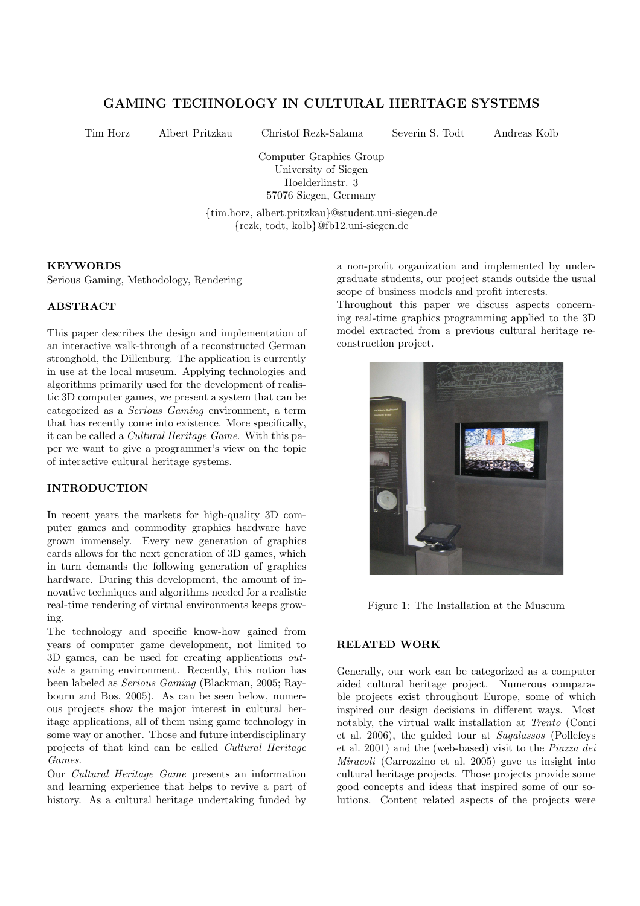# GAMING TECHNOLOGY IN CULTURAL HERITAGE SYSTEMS

Tim Horz Albert Pritzkau Christof Rezk-Salama Severin S. Todt Andreas Kolb

Computer Graphics Group University of Siegen Hoelderlinstr. 3 57076 Siegen, Germany

{tim.horz, albert.pritzkau}@student.uni-siegen.de {rezk, todt, kolb}@fb12.uni-siegen.de

#### **KEYWORDS**

Serious Gaming, Methodology, Rendering

# ABSTRACT

This paper describes the design and implementation of an interactive walk-through of a reconstructed German stronghold, the Dillenburg. The application is currently in use at the local museum. Applying technologies and algorithms primarily used for the development of realistic 3D computer games, we present a system that can be categorized as a Serious Gaming environment, a term that has recently come into existence. More specifically, it can be called a Cultural Heritage Game. With this paper we want to give a programmer's view on the topic of interactive cultural heritage systems.

### INTRODUCTION

In recent years the markets for high-quality 3D computer games and commodity graphics hardware have grown immensely. Every new generation of graphics cards allows for the next generation of 3D games, which in turn demands the following generation of graphics hardware. During this development, the amount of innovative techniques and algorithms needed for a realistic real-time rendering of virtual environments keeps growing.

The technology and specific know-how gained from years of computer game development, not limited to 3D games, can be used for creating applications outside a gaming environment. Recently, this notion has been labeled as Serious Gaming (Blackman, 2005; Raybourn and Bos, 2005). As can be seen below, numerous projects show the major interest in cultural heritage applications, all of them using game technology in some way or another. Those and future interdisciplinary projects of that kind can be called Cultural Heritage Games.

Our Cultural Heritage Game presents an information and learning experience that helps to revive a part of history. As a cultural heritage undertaking funded by

a non-profit organization and implemented by undergraduate students, our project stands outside the usual scope of business models and profit interests.

Throughout this paper we discuss aspects concerning real-time graphics programming applied to the 3D model extracted from a previous cultural heritage reconstruction project.



Figure 1: The Installation at the Museum

# RELATED WORK

Generally, our work can be categorized as a computer aided cultural heritage project. Numerous comparable projects exist throughout Europe, some of which inspired our design decisions in different ways. Most notably, the virtual walk installation at Trento (Conti et al. 2006), the guided tour at Sagalassos (Pollefeys et al. 2001) and the (web-based) visit to the Piazza dei Miracoli (Carrozzino et al. 2005) gave us insight into cultural heritage projects. Those projects provide some good concepts and ideas that inspired some of our solutions. Content related aspects of the projects were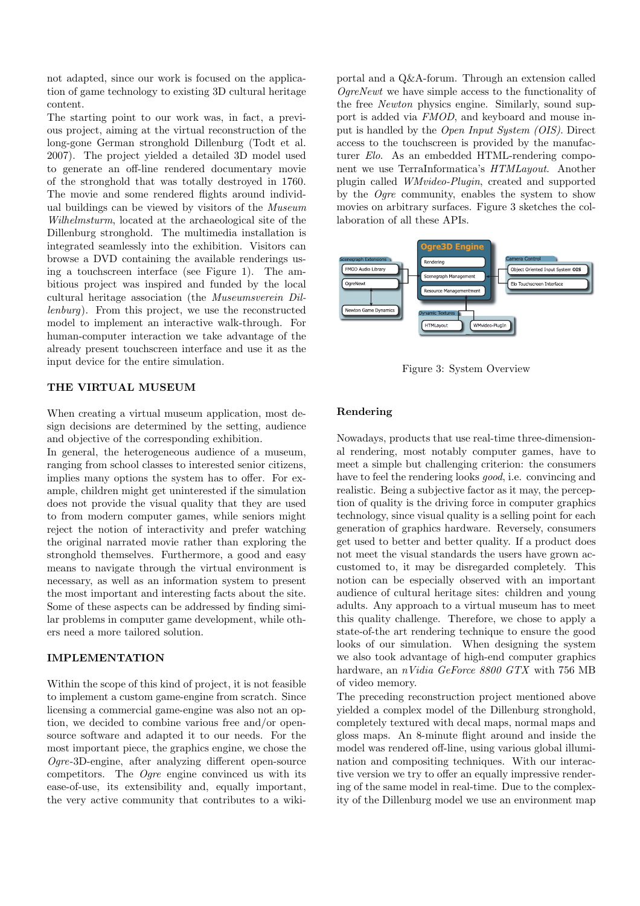not adapted, since our work is focused on the application of game technology to existing 3D cultural heritage content.

The starting point to our work was, in fact, a previous project, aiming at the virtual reconstruction of the long-gone German stronghold Dillenburg (Todt et al. 2007). The project yielded a detailed 3D model used to generate an off-line rendered documentary movie of the stronghold that was totally destroyed in 1760. The movie and some rendered flights around individual buildings can be viewed by visitors of the Museum Wilhelmsturm, located at the archaeological site of the Dillenburg stronghold. The multimedia installation is integrated seamlessly into the exhibition. Visitors can browse a DVD containing the available renderings using a touchscreen interface (see Figure 1). The ambitious project was inspired and funded by the local cultural heritage association (the Museumsverein Dillenburg). From this project, we use the reconstructed model to implement an interactive walk-through. For human-computer interaction we take advantage of the already present touchscreen interface and use it as the input device for the entire simulation.

# THE VIRTUAL MUSEUM

When creating a virtual museum application, most design decisions are determined by the setting, audience and objective of the corresponding exhibition.

In general, the heterogeneous audience of a museum, ranging from school classes to interested senior citizens, implies many options the system has to offer. For example, children might get uninterested if the simulation does not provide the visual quality that they are used to from modern computer games, while seniors might reject the notion of interactivity and prefer watching the original narrated movie rather than exploring the stronghold themselves. Furthermore, a good and easy means to navigate through the virtual environment is necessary, as well as an information system to present the most important and interesting facts about the site. Some of these aspects can be addressed by finding similar problems in computer game development, while others need a more tailored solution.

#### IMPLEMENTATION

Within the scope of this kind of project, it is not feasible to implement a custom game-engine from scratch. Since licensing a commercial game-engine was also not an option, we decided to combine various free and/or opensource software and adapted it to our needs. For the most important piece, the graphics engine, we chose the Ogre-3D-engine, after analyzing different open-source competitors. The Ogre engine convinced us with its ease-of-use, its extensibility and, equally important, the very active community that contributes to a wiki-

portal and a Q&A-forum. Through an extension called OgreNewt we have simple access to the functionality of the free Newton physics engine. Similarly, sound support is added via FMOD, and keyboard and mouse input is handled by the Open Input System (OIS). Direct access to the touchscreen is provided by the manufacturer Elo. As an embedded HTML-rendering component we use TerraInformatica's HTMLayout. Another plugin called WMvideo-Plugin, created and supported by the  $O$ qre community, enables the system to show movies on arbitrary surfaces. Figure 3 sketches the collaboration of all these APIs.



Figure 3: System Overview

#### Rendering

Nowadays, products that use real-time three-dimensional rendering, most notably computer games, have to meet a simple but challenging criterion: the consumers have to feel the rendering looks *good*, i.e. convincing and realistic. Being a subjective factor as it may, the perception of quality is the driving force in computer graphics technology, since visual quality is a selling point for each generation of graphics hardware. Reversely, consumers get used to better and better quality. If a product does not meet the visual standards the users have grown accustomed to, it may be disregarded completely. This notion can be especially observed with an important audience of cultural heritage sites: children and young adults. Any approach to a virtual museum has to meet this quality challenge. Therefore, we chose to apply a state-of-the art rendering technique to ensure the good looks of our simulation. When designing the system we also took advantage of high-end computer graphics hardware, an *nVidia GeForce 8800 GTX* with 756 MB of video memory.

The preceding reconstruction project mentioned above yielded a complex model of the Dillenburg stronghold, completely textured with decal maps, normal maps and gloss maps. An 8-minute flight around and inside the model was rendered off-line, using various global illumination and compositing techniques. With our interactive version we try to offer an equally impressive rendering of the same model in real-time. Due to the complexity of the Dillenburg model we use an environment map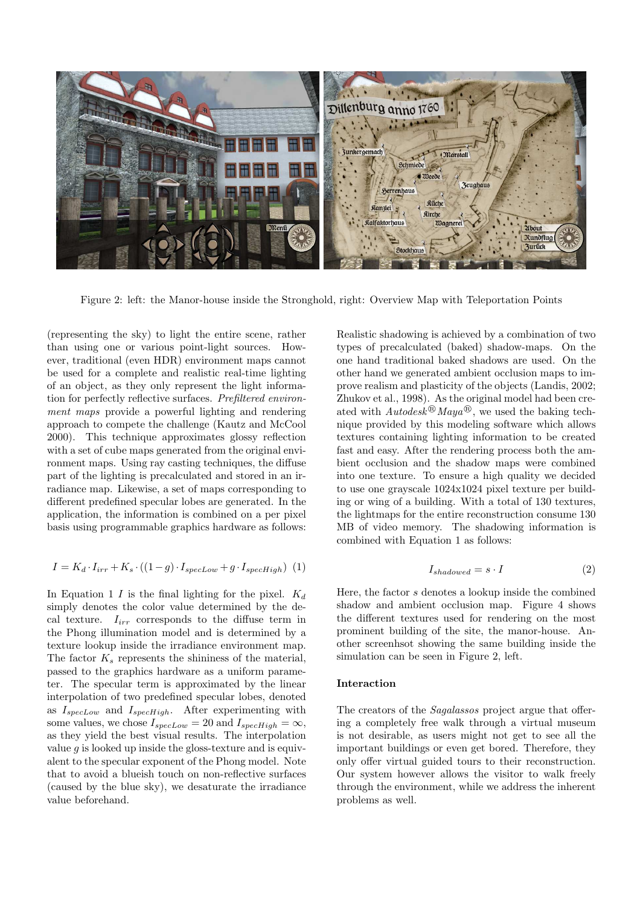

Figure 2: left: the Manor-house inside the Stronghold, right: Overview Map with Teleportation Points

(representing the sky) to light the entire scene, rather than using one or various point-light sources. However, traditional (even HDR) environment maps cannot be used for a complete and realistic real-time lighting of an object, as they only represent the light information for perfectly reflective surfaces. Prefiltered environment maps provide a powerful lighting and rendering approach to compete the challenge (Kautz and McCool 2000). This technique approximates glossy reflection with a set of cube maps generated from the original environment maps. Using ray casting techniques, the diffuse part of the lighting is precalculated and stored in an irradiance map. Likewise, a set of maps corresponding to different predefined specular lobes are generated. In the application, the information is combined on a per pixel basis using programmable graphics hardware as follows:

$$
I = K_d \cdot I_{irr} + K_s \cdot ((1 - g) \cdot I_{specLow} + g \cdot I_{specHigh}) \tag{1}
$$

In Equation 1 I is the final lighting for the pixel.  $K_d$ simply denotes the color value determined by the decal texture.  $I_{irr}$  corresponds to the diffuse term in the Phong illumination model and is determined by a texture lookup inside the irradiance environment map. The factor  $K_s$  represents the shininess of the material, passed to the graphics hardware as a uniform parameter. The specular term is approximated by the linear interpolation of two predefined specular lobes, denoted as  $I_{specLow}$  and  $I_{specHigh}$ . After experimenting with some values, we chose  $I_{specLow} = 20$  and  $I_{specHigh} = \infty$ , as they yield the best visual results. The interpolation value  $q$  is looked up inside the gloss-texture and is equivalent to the specular exponent of the Phong model. Note that to avoid a blueish touch on non-reflective surfaces (caused by the blue sky), we desaturate the irradiance value beforehand.

Realistic shadowing is achieved by a combination of two types of precalculated (baked) shadow-maps. On the one hand traditional baked shadows are used. On the other hand we generated ambient occlusion maps to improve realism and plasticity of the objects (Landis, 2002; Zhukov et al., 1998). As the original model had been created with  $Autodes_k^{\textcircled{B}}$  Maya<sup>®</sup>, we used the baking technique provided by this modeling software which allows textures containing lighting information to be created fast and easy. After the rendering process both the ambient occlusion and the shadow maps were combined into one texture. To ensure a high quality we decided to use one grayscale 1024x1024 pixel texture per building or wing of a building. With a total of 130 textures, the lightmaps for the entire reconstruction consume 130 MB of video memory. The shadowing information is combined with Equation 1 as follows:

$$
I_{shadowed} = s \cdot I \tag{2}
$$

Here, the factor s denotes a lookup inside the combined shadow and ambient occlusion map. Figure 4 shows the different textures used for rendering on the most prominent building of the site, the manor-house. Another screenhsot showing the same building inside the simulation can be seen in Figure 2, left.

#### Interaction

The creators of the Sagalassos project argue that offering a completely free walk through a virtual museum is not desirable, as users might not get to see all the important buildings or even get bored. Therefore, they only offer virtual guided tours to their reconstruction. Our system however allows the visitor to walk freely through the environment, while we address the inherent problems as well.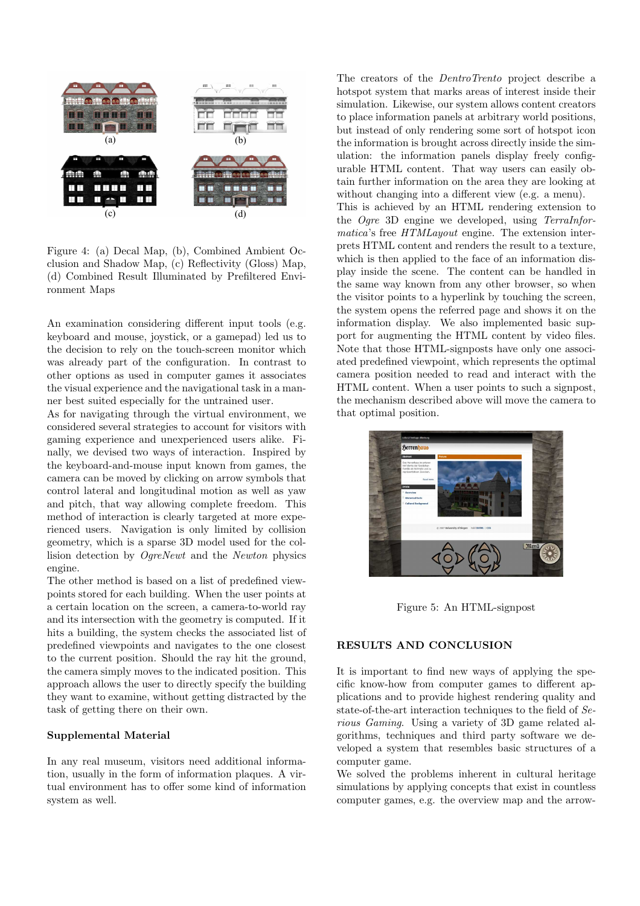

Figure 4: (a) Decal Map, (b), Combined Ambient Occlusion and Shadow Map, (c) Reflectivity (Gloss) Map, (d) Combined Result Illuminated by Prefiltered Environment Maps

An examination considering different input tools (e.g. keyboard and mouse, joystick, or a gamepad) led us to the decision to rely on the touch-screen monitor which was already part of the configuration. In contrast to other options as used in computer games it associates the visual experience and the navigational task in a manner best suited especially for the untrained user.

As for navigating through the virtual environment, we considered several strategies to account for visitors with gaming experience and unexperienced users alike. Finally, we devised two ways of interaction. Inspired by the keyboard-and-mouse input known from games, the camera can be moved by clicking on arrow symbols that control lateral and longitudinal motion as well as yaw and pitch, that way allowing complete freedom. This method of interaction is clearly targeted at more experienced users. Navigation is only limited by collision geometry, which is a sparse 3D model used for the collision detection by OgreNewt and the Newton physics engine.

The other method is based on a list of predefined viewpoints stored for each building. When the user points at a certain location on the screen, a camera-to-world ray and its intersection with the geometry is computed. If it hits a building, the system checks the associated list of predefined viewpoints and navigates to the one closest to the current position. Should the ray hit the ground, the camera simply moves to the indicated position. This approach allows the user to directly specify the building they want to examine, without getting distracted by the task of getting there on their own.

#### Supplemental Material

In any real museum, visitors need additional information, usually in the form of information plaques. A virtual environment has to offer some kind of information system as well.

The creators of the DentroTrento project describe a hotspot system that marks areas of interest inside their simulation. Likewise, our system allows content creators to place information panels at arbitrary world positions, but instead of only rendering some sort of hotspot icon the information is brought across directly inside the simulation: the information panels display freely configurable HTML content. That way users can easily obtain further information on the area they are looking at without changing into a different view (e.g. a menu). This is achieved by an HTML rendering extension to the Ogre 3D engine we developed, using TerraInformatica's free HTMLayout engine. The extension interprets HTML content and renders the result to a texture, which is then applied to the face of an information display inside the scene. The content can be handled in the same way known from any other browser, so when the visitor points to a hyperlink by touching the screen, the system opens the referred page and shows it on the information display. We also implemented basic support for augmenting the HTML content by video files. Note that those HTML-signposts have only one associated predefined viewpoint, which represents the optimal camera position needed to read and interact with the HTML content. When a user points to such a signpost, the mechanism described above will move the camera to that optimal position.



Figure 5: An HTML-signpost

# RESULTS AND CONCLUSION

It is important to find new ways of applying the specific know-how from computer games to different applications and to provide highest rendering quality and state-of-the-art interaction techniques to the field of Serious Gaming. Using a variety of 3D game related algorithms, techniques and third party software we developed a system that resembles basic structures of a computer game.

We solved the problems inherent in cultural heritage simulations by applying concepts that exist in countless computer games, e.g. the overview map and the arrow